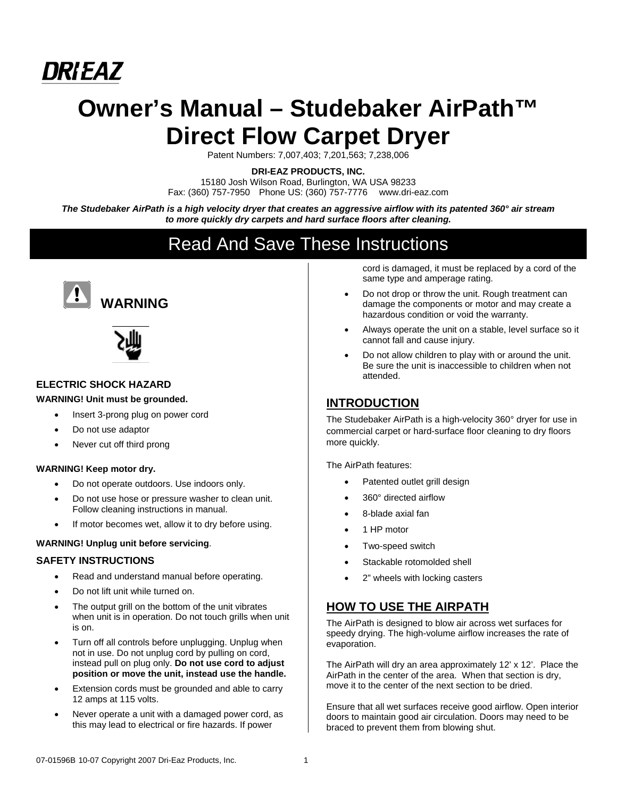

# **Owner's Manual – Studebaker AirPath™ Direct Flow Carpet Dryer**

Patent Numbers: 7,007,403; 7,201,563; 7,238,006

**DRI-EAZ PRODUCTS, INC.** 

15180 Josh Wilson Road, Burlington, WA USA 98233 Fax: (360) 757-7950 Phone US: (360) 757-7776 www.dri-eaz.com

*The Studebaker AirPath is a high velocity dryer that creates an aggressive airflow with its patented 360° air stream to more quickly dry carpets and hard surface floors after cleaning.* 

## Read And Save These Instructions





#### **ELECTRIC SHOCK HAZARD**

#### **WARNING! Unit must be grounded.**

- Insert 3-prong plug on power cord
- Do not use adaptor
- Never cut off third prong

#### **WARNING! Keep motor dry.**

- Do not operate outdoors. Use indoors only.
- Do not use hose or pressure washer to clean unit. Follow cleaning instructions in manual.
- If motor becomes wet, allow it to dry before using.

#### **WARNING! Unplug unit before servicing**.

#### **SAFETY INSTRUCTIONS**

- Read and understand manual before operating.
- Do not lift unit while turned on.
- The output grill on the bottom of the unit vibrates when unit is in operation. Do not touch grills when unit is on.
- Turn off all controls before unplugging. Unplug when not in use. Do not unplug cord by pulling on cord, instead pull on plug only. **Do not use cord to adjust position or move the unit, instead use the handle.**
- Extension cords must be grounded and able to carry 12 amps at 115 volts.
- Never operate a unit with a damaged power cord, as this may lead to electrical or fire hazards. If power

cord is damaged, it must be replaced by a cord of the same type and amperage rating.

- Do not drop or throw the unit. Rough treatment can damage the components or motor and may create a hazardous condition or void the warranty.
- Always operate the unit on a stable, level surface so it cannot fall and cause injury.
- Do not allow children to play with or around the unit. Be sure the unit is inaccessible to children when not attended.

## **INTRODUCTION**

The Studebaker AirPath is a high-velocity 360° dryer for use in commercial carpet or hard-surface floor cleaning to dry floors more quickly.

The AirPath features:

- Patented outlet grill design
- 360° directed airflow
- 8-blade axial fan
- 1 HP motor
- Two-speed switch
- Stackable rotomolded shell
- 2" wheels with locking casters

## **HOW TO USE THE AIRPATH**

The AirPath is designed to blow air across wet surfaces for speedy drying. The high-volume airflow increases the rate of evaporation.

The AirPath will dry an area approximately 12' x 12'. Place the AirPath in the center of the area. When that section is dry, move it to the center of the next section to be dried.

Ensure that all wet surfaces receive good airflow. Open interior doors to maintain good air circulation. Doors may need to be braced to prevent them from blowing shut.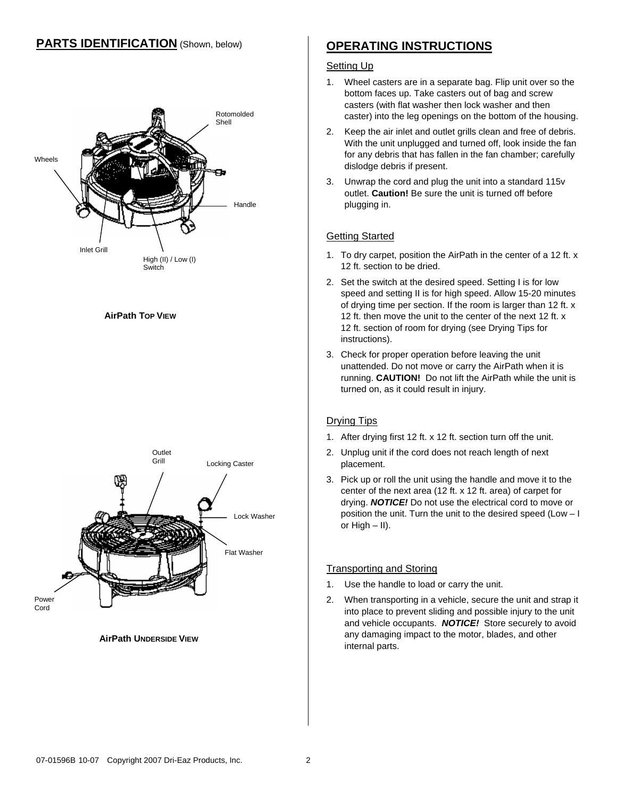## **PARTS IDENTIFICATION** (Shown, below)



#### **AirPath TOP VIEW**



**AirPath UNDERSIDE VIEW**

## **OPERATING INSTRUCTIONS**

#### **Setting Up**

- 1. Wheel casters are in a separate bag. Flip unit over so the bottom faces up. Take casters out of bag and screw casters (with flat washer then lock washer and then caster) into the leg openings on the bottom of the housing.
- 2. Keep the air inlet and outlet grills clean and free of debris. With the unit unplugged and turned off, look inside the fan for any debris that has fallen in the fan chamber; carefully dislodge debris if present.
- 3. Unwrap the cord and plug the unit into a standard 115v outlet. **Caution!** Be sure the unit is turned off before plugging in.

#### Getting Started

- 1. To dry carpet, position the AirPath in the center of a 12 ft. x 12 ft. section to be dried.
- 2. Set the switch at the desired speed. Setting I is for low speed and setting II is for high speed. Allow 15-20 minutes of drying time per section. If the room is larger than 12 ft. x 12 ft. then move the unit to the center of the next 12 ft. x 12 ft. section of room for drying (see Drying Tips for instructions).
- 3. Check for proper operation before leaving the unit unattended. Do not move or carry the AirPath when it is running. **CAUTION!** Do not lift the AirPath while the unit is turned on, as it could result in injury.

#### Drying Tips

- 1. After drying first 12 ft. x 12 ft. section turn off the unit.
- 2. Unplug unit if the cord does not reach length of next placement.
- 3. Pick up or roll the unit using the handle and move it to the center of the next area (12 ft. x 12 ft. area) of carpet for drying. *NOTICE!* Do not use the electrical cord to move or position the unit. Turn the unit to the desired speed (Low – I or High – II).

#### Transporting and Storing

- 1. Use the handle to load or carry the unit.
- 2. When transporting in a vehicle, secure the unit and strap it into place to prevent sliding and possible injury to the unit and vehicle occupants. *NOTICE!* Store securely to avoid any damaging impact to the motor, blades, and other internal parts.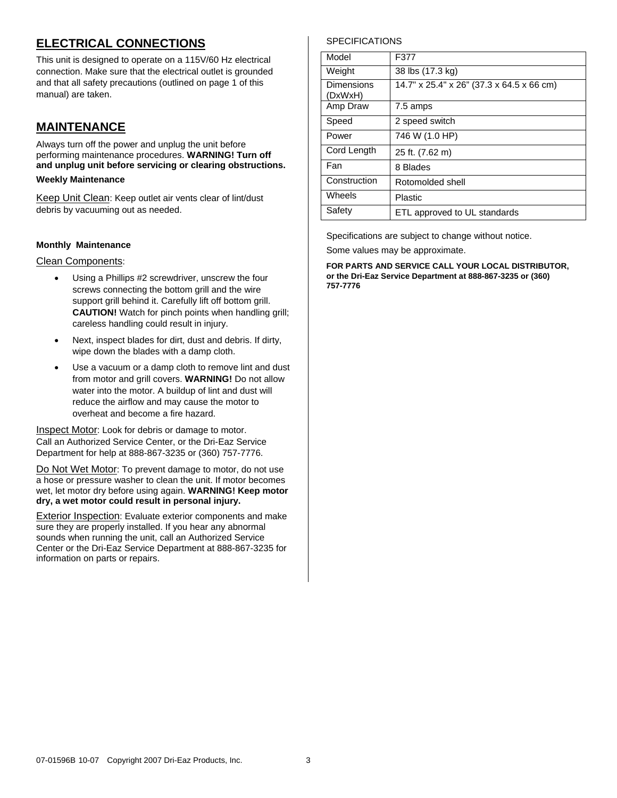## **ELECTRICAL CONNECTIONS**

This unit is designed to operate on a 115V/60 Hz electrical connection. Make sure that the electrical outlet is grounded and that all safety precautions (outlined on page 1 of this manual) are taken.

## **MAINTENANCE**

Always turn off the power and unplug the unit before performing maintenance procedures. **WARNING! Turn off and unplug unit before servicing or clearing obstructions.**

#### **Weekly Maintenance**

Keep Unit Clean: Keep outlet air vents clear of lint/dust debris by vacuuming out as needed.

#### **Monthly Maintenance**

Clean Components:

- Using a Phillips #2 screwdriver, unscrew the four screws connecting the bottom grill and the wire support grill behind it. Carefully lift off bottom grill. **CAUTION!** Watch for pinch points when handling grill; careless handling could result in injury.
- Next, inspect blades for dirt, dust and debris. If dirty, wipe down the blades with a damp cloth.
- Use a vacuum or a damp cloth to remove lint and dust from motor and grill covers. **WARNING!** Do not allow water into the motor. A buildup of lint and dust will reduce the airflow and may cause the motor to overheat and become a fire hazard.

**Inspect Motor:** Look for debris or damage to motor. Call an Authorized Service Center, or the Dri-Eaz Service Department for help at 888-867-3235 or (360) 757-7776.

Do Not Wet Motor: To prevent damage to motor, do not use a hose or pressure washer to clean the unit. If motor becomes wet, let motor dry before using again. **WARNING! Keep motor dry, a wet motor could result in personal injury.**

**Exterior Inspection:** Evaluate exterior components and make sure they are properly installed. If you hear any abnormal sounds when running the unit, call an Authorized Service Center or the Dri-Eaz Service Department at 888-867-3235 for information on parts or repairs.

#### **SPECIFICATIONS**

| Model                 | F377                                      |
|-----------------------|-------------------------------------------|
| Weight                | 38 lbs (17.3 kg)                          |
| Dimensions<br>(DxWxH) | 14.7" x 25.4" x 26" (37.3 x 64.5 x 66 cm) |
| Amp Draw              | 7.5 amps                                  |
| Speed                 | 2 speed switch                            |
| Power                 | 746 W (1.0 HP)                            |
| Cord Length           | 25 ft. (7.62 m)                           |
| Fan                   | 8 Blades                                  |
| Construction          | Rotomolded shell                          |
| Wheels                | Plastic                                   |
| Safety                | ETL approved to UL standards              |

Specifications are subject to change without notice.

Some values may be approximate.

**FOR PARTS AND SERVICE CALL YOUR LOCAL DISTRIBUTOR, or the Dri-Eaz Service Department at 888-867-3235 or (360) 757-7776**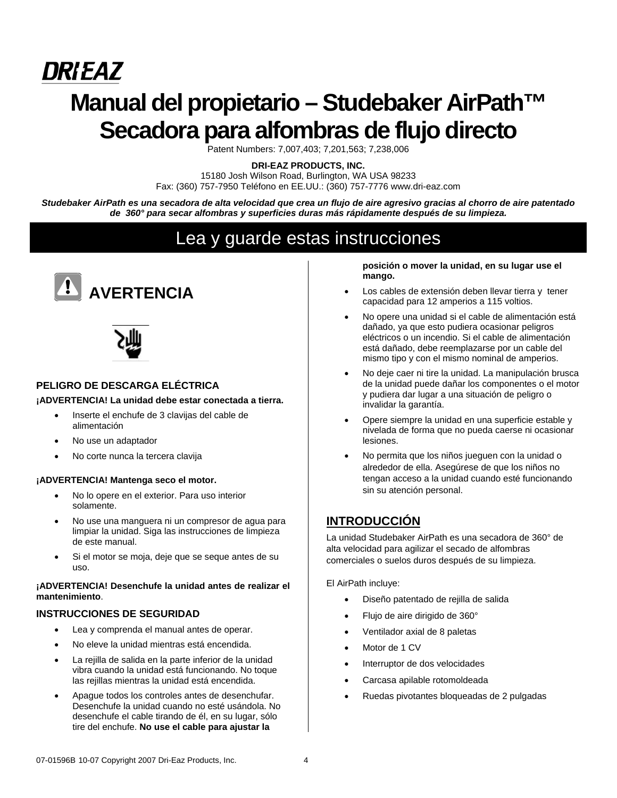# *DRIEAZ* **Manual del propietario – Studebaker AirPath™ Secadora para alfombras de flujo directo**

Patent Numbers: 7,007,403; 7,201,563; 7,238,006

**DRI-EAZ PRODUCTS, INC.** 

15180 Josh Wilson Road, Burlington, WA USA 98233 Fax: (360) 757-7950 Teléfono en EE.UU.: (360) 757-7776 www.dri-eaz.com

*Studebaker AirPath es una secadora de alta velocidad que crea un flujo de aire agresivo gracias al chorro de aire patentado de 360° para secar alfombras y superficies duras más rápidamente después de su limpieza.* 

## Lea y guarde estas instrucciones





#### **PELIGRO DE DESCARGA ELÉCTRICA**

#### **¡ADVERTENCIA! La unidad debe estar conectada a tierra.**

- Inserte el enchufe de 3 clavijas del cable de alimentación
- No use un adaptador
- No corte nunca la tercera clavija

#### **¡ADVERTENCIA! Mantenga seco el motor.**

- No lo opere en el exterior. Para uso interior solamente.
- No use una manguera ni un compresor de agua para limpiar la unidad. Siga las instrucciones de limpieza de este manual.
- Si el motor se moja, deje que se seque antes de su uso.

#### **¡ADVERTENCIA! Desenchufe la unidad antes de realizar el mantenimiento**.

#### **INSTRUCCIONES DE SEGURIDAD**

- Lea y comprenda el manual antes de operar.
- No eleve la unidad mientras está encendida.
- La rejilla de salida en la parte inferior de la unidad vibra cuando la unidad está funcionando. No toque las rejillas mientras la unidad está encendida.
- Apague todos los controles antes de desenchufar. Desenchufe la unidad cuando no esté usándola. No desenchufe el cable tirando de él, en su lugar, sólo tire del enchufe. **No use el cable para ajustar la**

**posición o mover la unidad, en su lugar use el mango.**

- Los cables de extensión deben llevar tierra y tener capacidad para 12 amperios a 115 voltios.
- No opere una unidad si el cable de alimentación está dañado, ya que esto pudiera ocasionar peligros eléctricos o un incendio. Si el cable de alimentación está dañado, debe reemplazarse por un cable del mismo tipo y con el mismo nominal de amperios.
- No deje caer ni tire la unidad. La manipulación brusca de la unidad puede dañar los componentes o el motor y pudiera dar lugar a una situación de peligro o invalidar la garantía.
- Opere siempre la unidad en una superficie estable y nivelada de forma que no pueda caerse ni ocasionar lesiones.
- No permita que los niños jueguen con la unidad o alrededor de ella. Asegúrese de que los niños no tengan acceso a la unidad cuando esté funcionando sin su atención personal.

## **INTRODUCCIÓN**

La unidad Studebaker AirPath es una secadora de 360° de alta velocidad para agilizar el secado de alfombras comerciales o suelos duros después de su limpieza.

El AirPath incluye:

- Diseño patentado de rejilla de salida
- Flujo de aire dirigido de 360°
- Ventilador axial de 8 paletas
- Motor de 1 CV
- Interruptor de dos velocidades
- Carcasa apilable rotomoldeada
- Ruedas pivotantes bloqueadas de 2 pulgadas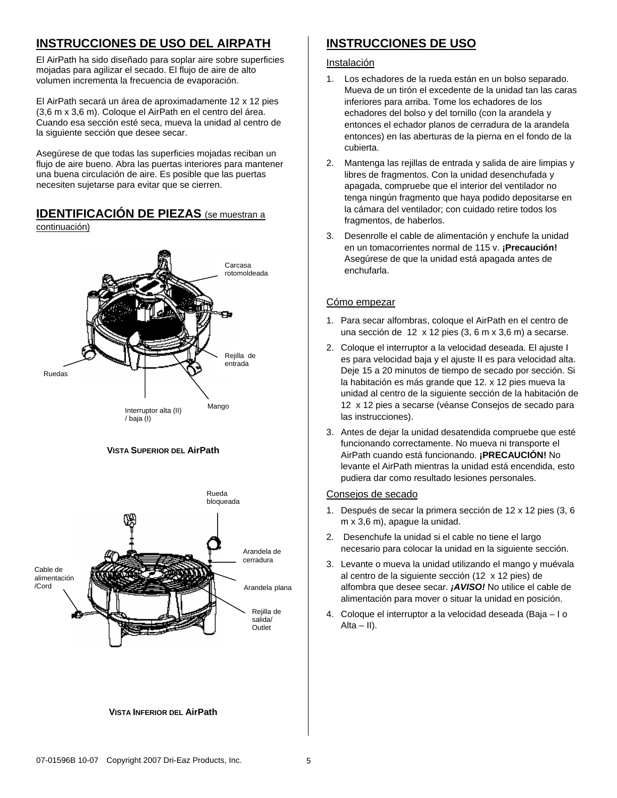## **INSTRUCCIONES DE USO DEL AIRPATH**

El AirPath ha sido diseñado para soplar aire sobre superficies mojadas para agilizar el secado. El flujo de aire de alto volumen incrementa la frecuencia de evaporación.

El AirPath secará un área de aproximadamente 12 x 12 pies (3,6 m x 3,6 m). Coloque el AirPath en el centro del área. Cuando esa sección esté seca, mueva la unidad al centro de la siguiente sección que desee secar.

Asegúrese de que todas las superficies mojadas reciban un flujo de aire bueno. Abra las puertas interiores para mantener una buena circulación de aire. Es posible que las puertas necesiten sujetarse para evitar que se cierren.

### **IDENTIFICACIÓN DE PIEZAS** (se muestran a

continuación)







#### **VISTA INFERIOR DEL AirPath**

## **INSTRUCCIONES DE USO**

#### Instalación

- 1. Los echadores de la rueda están en un bolso separado. Mueva de un tirón el excedente de la unidad tan las caras inferiores para arriba. Tome los echadores de los echadores del bolso y del tornillo (con la arandela y entonces el echador planos de cerradura de la arandela entonces) en las aberturas de la pierna en el fondo de la cubierta.
- 2. Mantenga las rejillas de entrada y salida de aire limpias y libres de fragmentos. Con la unidad desenchufada y apagada, compruebe que el interior del ventilador no tenga ningún fragmento que haya podido depositarse en la cámara del ventilador; con cuidado retire todos los fragmentos, de haberlos.
- 3. Desenrolle el cable de alimentación y enchufe la unidad en un tomacorrientes normal de 115 v. **¡Precaución!** Asegúrese de que la unidad está apagada antes de enchufarla.

#### Cómo empezar

- 1. Para secar alfombras, coloque el AirPath en el centro de una sección de 12 x 12 pies (3, 6 m x 3,6 m) a secarse.
- 2. Coloque el interruptor a la velocidad deseada. El ajuste I es para velocidad baja y el ajuste II es para velocidad alta. Deje 15 a 20 minutos de tiempo de secado por sección. Si la habitación es más grande que 12. x 12 pies mueva la unidad al centro de la siguiente sección de la habitación de 12 x 12 pies a secarse (véanse Consejos de secado para las instrucciones).
- 3. Antes de dejar la unidad desatendida compruebe que esté funcionando correctamente. No mueva ni transporte el AirPath cuando está funcionando. **¡PRECAUCIÓN!** No levante el AirPath mientras la unidad está encendida, esto pudiera dar como resultado lesiones personales.

#### Consejos de secado

- 1. Después de secar la primera sección de 12 x 12 pies (3, 6 m x 3,6 m), apague la unidad.
- 2. Desenchufe la unidad si el cable no tiene el largo necesario para colocar la unidad en la siguiente sección.
- 3. Levante o mueva la unidad utilizando el mango y muévala al centro de la siguiente sección (12 x 12 pies) de alfombra que desee secar. *¡AVISO!* No utilice el cable de alimentación para mover o situar la unidad en posición.
- 4. Coloque el interruptor a la velocidad deseada (Baja I o  $Alta - II$ ).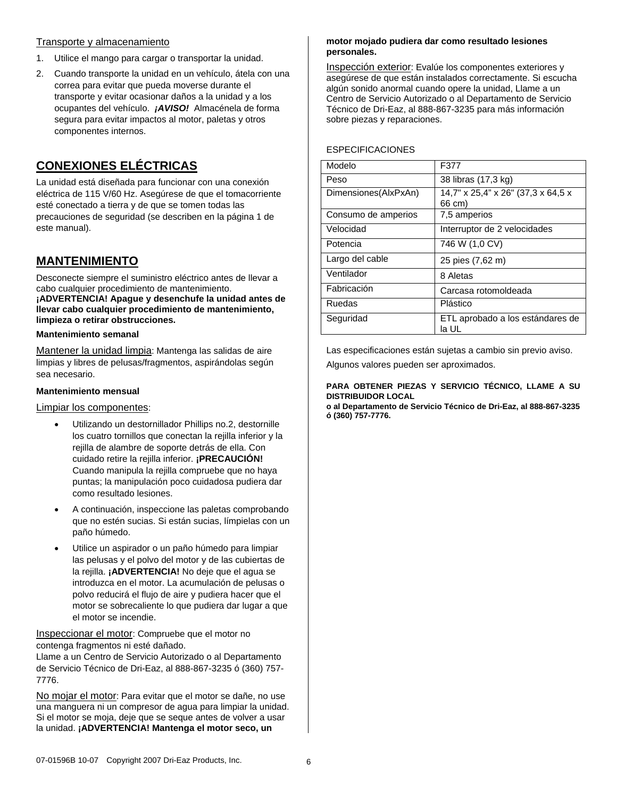#### Transporte y almacenamiento

- 1. Utilice el mango para cargar o transportar la unidad.
- 2. Cuando transporte la unidad en un vehículo, átela con una correa para evitar que pueda moverse durante el transporte y evitar ocasionar daños a la unidad y a los ocupantes del vehículo. *¡AVISO!* Almacénela de forma segura para evitar impactos al motor, paletas y otros componentes internos.

## **CONEXIONES ELÉCTRICAS**

La unidad está diseñada para funcionar con una conexión eléctrica de 115 V/60 Hz. Asegúrese de que el tomacorriente esté conectado a tierra y de que se tomen todas las precauciones de seguridad (se describen en la página 1 de este manual).

## **MANTENIMIENTO**

Desconecte siempre el suministro eléctrico antes de llevar a cabo cualquier procedimiento de mantenimiento. **¡ADVERTENCIA! Apague y desenchufe la unidad antes de llevar cabo cualquier procedimiento de mantenimiento, limpieza o retirar obstrucciones.**

#### **Mantenimiento semanal**

Mantener la unidad limpia: Mantenga las salidas de aire limpias y libres de pelusas/fragmentos, aspirándolas según sea necesario.

#### **Mantenimiento mensual**

#### Limpiar los componentes:

- Utilizando un destornillador Phillips no.2, destornille los cuatro tornillos que conectan la rejilla inferior y la rejilla de alambre de soporte detrás de ella. Con cuidado retire la rejilla inferior. **¡PRECAUCIÓN!**  Cuando manipula la rejilla compruebe que no haya puntas; la manipulación poco cuidadosa pudiera dar como resultado lesiones.
- A continuación, inspeccione las paletas comprobando que no estén sucias. Si están sucias, límpielas con un paño húmedo.
- Utilice un aspirador o un paño húmedo para limpiar las pelusas y el polvo del motor y de las cubiertas de la rejilla. **¡ADVERTENCIA!** No deje que el agua se introduzca en el motor. La acumulación de pelusas o polvo reducirá el flujo de aire y pudiera hacer que el motor se sobrecaliente lo que pudiera dar lugar a que el motor se incendie.

Inspeccionar el motor: Compruebe que el motor no contenga fragmentos ni esté dañado.

Llame a un Centro de Servicio Autorizado o al Departamento de Servicio Técnico de Dri-Eaz, al 888-867-3235 ó (360) 757- 7776.

No mojar el motor: Para evitar que el motor se dañe, no use una manguera ni un compresor de agua para limpiar la unidad. Si el motor se moja, deje que se seque antes de volver a usar la unidad. **¡ADVERTENCIA! Mantenga el motor seco, un** 

#### **motor mojado pudiera dar como resultado lesiones personales.**

Inspección exterior: Evalúe los componentes exteriores y asegúrese de que están instalados correctamente. Si escucha algún sonido anormal cuando opere la unidad, Llame a un Centro de Servicio Autorizado o al Departamento de Servicio Técnico de Dri-Eaz, al 888-867-3235 para más información sobre piezas y reparaciones.

### ESPECIFICACIONES

| Modelo               | F377                                         |
|----------------------|----------------------------------------------|
| Peso                 | 38 libras (17,3 kg)                          |
| Dimensiones(AlxPxAn) | 14,7" x 25,4" x 26" (37,3 x 64,5 x<br>66 cm) |
| Consumo de amperios  | 7,5 amperios                                 |
| Velocidad            | Interruptor de 2 velocidades                 |
| Potencia             | 746 W (1,0 CV)                               |
| Largo del cable      | 25 pies (7,62 m)                             |
| Ventilador           | 8 Aletas                                     |
| Fabricación          | Carcasa rotomoldeada                         |
| Ruedas               | Plástico                                     |
| Seguridad            | ETL aprobado a los estándares de<br>la UL    |

Las especificaciones están sujetas a cambio sin previo aviso.

Algunos valores pueden ser aproximados.

#### **PARA OBTENER PIEZAS Y SERVICIO TÉCNICO, LLAME A SU DISTRIBUIDOR LOCAL**

**o al Departamento de Servicio Técnico de Dri-Eaz, al 888-867-3235 ó (360) 757-7776.**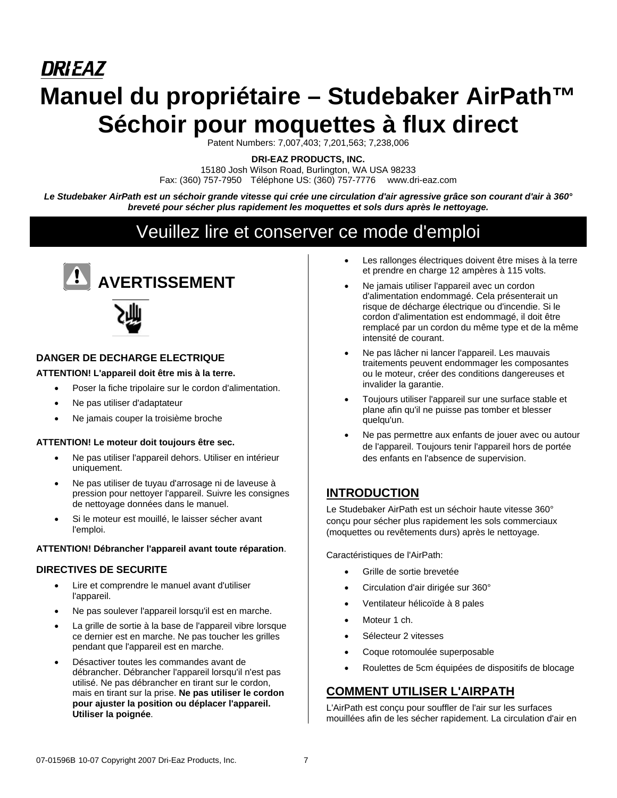# **DRIEAZ Manuel du propriétaire – Studebaker AirPath™ Séchoir pour moquettes à flux direct**

Patent Numbers: 7,007,403; 7,201,563; 7,238,006

**DRI-EAZ PRODUCTS, INC.** 

15180 Josh Wilson Road, Burlington, WA USA 98233 Fax: (360) 757-7950 Téléphone US: (360) 757-7776 www.dri-eaz.com

*Le Studebaker AirPath est un séchoir grande vitesse qui crée une circulation d'air agressive grâce son courant d'air à 360° breveté pour sécher plus rapidement les moquettes et sols durs après le nettoyage.* 

## Veuillez lire et conserver ce mode d'emploi





#### **DANGER DE DECHARGE ELECTRIQUE**

#### **ATTENTION! L'appareil doit être mis à la terre.**

- Poser la fiche tripolaire sur le cordon d'alimentation.
- Ne pas utiliser d'adaptateur
- Ne jamais couper la troisième broche

#### **ATTENTION! Le moteur doit toujours être sec.**

- Ne pas utiliser l'appareil dehors. Utiliser en intérieur uniquement.
- Ne pas utiliser de tuyau d'arrosage ni de laveuse à pression pour nettoyer l'appareil. Suivre les consignes de nettoyage données dans le manuel.
- Si le moteur est mouillé, le laisser sécher avant l'emploi.

#### **ATTENTION! Débrancher l'appareil avant toute réparation**.

#### **DIRECTIVES DE SECURITE**

- Lire et comprendre le manuel avant d'utiliser l'appareil.
- Ne pas soulever l'appareil lorsqu'il est en marche.
- La grille de sortie à la base de l'appareil vibre lorsque ce dernier est en marche. Ne pas toucher les grilles pendant que l'appareil est en marche.
- Désactiver toutes les commandes avant de débrancher. Débrancher l'appareil lorsqu'il n'est pas utilisé. Ne pas débrancher en tirant sur le cordon, mais en tirant sur la prise. **Ne pas utiliser le cordon pour ajuster la position ou déplacer l'appareil. Utiliser la poignée**.
- Les rallonges électriques doivent être mises à la terre et prendre en charge 12 ampères à 115 volts.
- Ne jamais utiliser l'appareil avec un cordon d'alimentation endommagé. Cela présenterait un risque de décharge électrique ou d'incendie. Si le cordon d'alimentation est endommagé, il doit être remplacé par un cordon du même type et de la même intensité de courant.
- Ne pas lâcher ni lancer l'appareil. Les mauvais traitements peuvent endommager les composantes ou le moteur, créer des conditions dangereuses et invalider la garantie.
- Toujours utiliser l'appareil sur une surface stable et plane afin qu'il ne puisse pas tomber et blesser quelqu'un.
- Ne pas permettre aux enfants de jouer avec ou autour de l'appareil. Toujours tenir l'appareil hors de portée des enfants en l'absence de supervision.

## **INTRODUCTION**

Le Studebaker AirPath est un séchoir haute vitesse 360° conçu pour sécher plus rapidement les sols commerciaux (moquettes ou revêtements durs) après le nettoyage.

Caractéristiques de l'AirPath:

- Grille de sortie brevetée
- Circulation d'air dirigée sur 360°
- Ventilateur hélicoïde à 8 pales
- Moteur 1 ch.
- Sélecteur 2 vitesses
- Coque rotomoulée superposable
- Roulettes de 5cm équipées de dispositifs de blocage

## **COMMENT UTILISER L'AIRPATH**

L'AirPath est conçu pour souffler de l'air sur les surfaces mouillées afin de les sécher rapidement. La circulation d'air en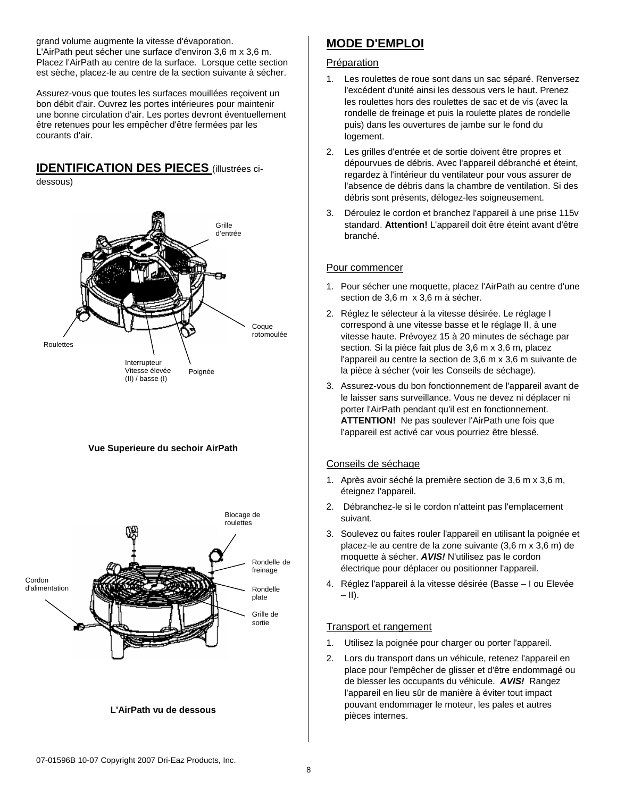grand volume augmente la vitesse d'évaporation. L'AirPath peut sécher une surface d'environ 3,6 m x 3,6 m. Placez l'AirPath au centre de la surface. Lorsque cette section est sèche, placez-le au centre de la section suivante à sécher.

Assurez-vous que toutes les surfaces mouillées reçoivent un bon débit d'air. Ouvrez les portes intérieures pour maintenir une bonne circulation d'air. Les portes devront éventuellement être retenues pour les empêcher d'être fermées par les courants d'air.

## **IDENTIFICATION DES PIECES** (illustrées ci-

dessous)







#### **L'AirPath vu de dessous**

## **MODE D'EMPLOI**

#### Préparation

- 1. Les roulettes de roue sont dans un sac séparé. Renversez l'excédent d'unité ainsi les dessous vers le haut. Prenez les roulettes hors des roulettes de sac et de vis (avec la rondelle de freinage et puis la roulette plates de rondelle puis) dans les ouvertures de jambe sur le fond du logement.
- 2. Les grilles d'entrée et de sortie doivent être propres et dépourvues de débris. Avec l'appareil débranché et éteint, regardez à l'intérieur du ventilateur pour vous assurer de l'absence de débris dans la chambre de ventilation. Si des débris sont présents, délogez-les soigneusement.
- 3. Déroulez le cordon et branchez l'appareil à une prise 115v standard. **Attention!** L'appareil doit être éteint avant d'être branché.

#### Pour commencer

- 1. Pour sécher une moquette, placez l'AirPath au centre d'une section de 3,6 m x 3,6 m à sécher.
- 2. Réglez le sélecteur à la vitesse désirée. Le réglage I correspond à une vitesse basse et le réglage II, à une vitesse haute. Prévoyez 15 à 20 minutes de séchage par section. Si la pièce fait plus de 3,6 m x 3,6 m, placez l'appareil au centre la section de 3,6 m x 3,6 m suivante de la pièce à sécher (voir les Conseils de séchage).
- 3. Assurez-vous du bon fonctionnement de l'appareil avant de le laisser sans surveillance. Vous ne devez ni déplacer ni porter l'AirPath pendant qu'il est en fonctionnement. **ATTENTION!** Ne pas soulever l'AirPath une fois que l'appareil est activé car vous pourriez être blessé.

#### Conseils de séchage

- 1. Après avoir séché la première section de 3,6 m x 3,6 m, éteignez l'appareil.
- 2. Débranchez-le si le cordon n'atteint pas l'emplacement suivant.
- 3. Soulevez ou faites rouler l'appareil en utilisant la poignée et placez-le au centre de la zone suivante (3,6 m x 3,6 m) de moquette à sécher. *AVIS!* N'utilisez pas le cordon électrique pour déplacer ou positionner l'appareil.
- 4. Réglez l'appareil à la vitesse désirée (Basse I ou Elevée – II).

#### Transport et rangement

- 1. Utilisez la poignée pour charger ou porter l'appareil.
- 2. Lors du transport dans un véhicule, retenez l'appareil en place pour l'empêcher de glisser et d'être endommagé ou de blesser les occupants du véhicule. *AVIS!* Rangez l'appareil en lieu sûr de manière à éviter tout impact pouvant endommager le moteur, les pales et autres pièces internes.